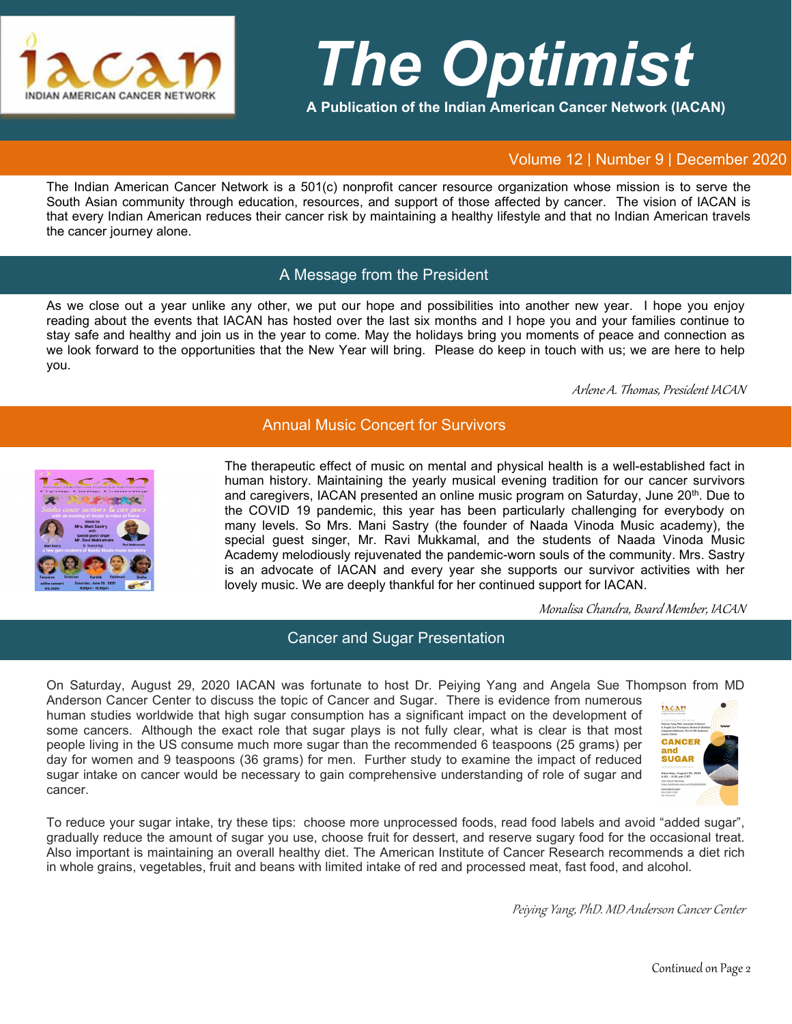

# *The Optimist*

**A Publication of the Indian American Cancer Network (IACAN)**

#### Volume 12 | Number 9 | December 2020

The Indian American Cancer Network is a 501(c) nonprofit cancer resource organization whose mission is to serve the South Asian community through education, resources, and support of those affected by cancer. The vision of IACAN is that every Indian American reduces their cancer risk by maintaining a healthy lifestyle and that no Indian American travels the cancer journey alone.

### A Message from the President

As we close out a year unlike any other, we put our hope and possibilities into another new year. I hope you enjoy reading about the events that IACAN has hosted over the last six months and I hope you and your families continue to stay safe and healthy and join us in the year to come. May the holidays bring you moments of peace and connection as we look forward to the opportunities that the New Year will bring. Please do keep in touch with us; we are here to help you.

Arlene A. Thomas, President IACAN

## Annual Music Concert for Survivors



cancer.

The therapeutic effect of music on mental and physical health is a well-established fact in human history. Maintaining the yearly musical evening tradition for our cancer survivors and caregivers, IACAN presented an online music program on Saturday, June 20<sup>th</sup>. Due to the COVID 19 pandemic, this year has been particularly challenging for everybody on many levels. So Mrs. Mani Sastry (the founder of Naada Vinoda Music academy), the special guest singer, Mr. Ravi Mukkamal, and the students of Naada Vinoda Music Academy melodiously rejuvenated the pandemic-worn souls of the community. Mrs. Sastry is an advocate of IACAN and every year she supports our survivor activities with her lovely music. We are deeply thankful for her continued support for IACAN.

Monalisa Chandra, Board Member, IACAN

#### Cancer and Sugar Presentation

On Saturday, August 29, 2020 IACAN was fortunate to host Dr. Peiying Yang and Angela Sue Thompson from MD Anderson Cancer Center to discuss the topic of Cancer and Sugar. There is evidence from numerous iacan human studies worldwide that high sugar consumption has a significant impact on the development of some cancers. Although the exact role that sugar plays is not fully clear, what is clear is that most CANCER people living in the US consume much more sugar than the recommended 6 teaspoons (25 grams) per day for women and 9 teaspoons (36 grams) for men. Further study to examine the impact of reduced **SUGAR** 

sugar intake on cancer would be necessary to gain comprehensive understanding of role of sugar and



To reduce your sugar intake, try these tips: choose more unprocessed foods, read food labels and avoid "added sugar", gradually reduce the amount of sugar you use, choose fruit for dessert, and reserve sugary food for the occasional treat. Also important is maintaining an overall healthy diet. The American Institute of Cancer Research recommends a diet rich in whole grains, vegetables, fruit and beans with limited intake of red and processed meat, fast food, and alcohol.

Peiying Yang, PhD. MD Anderson Cancer Center